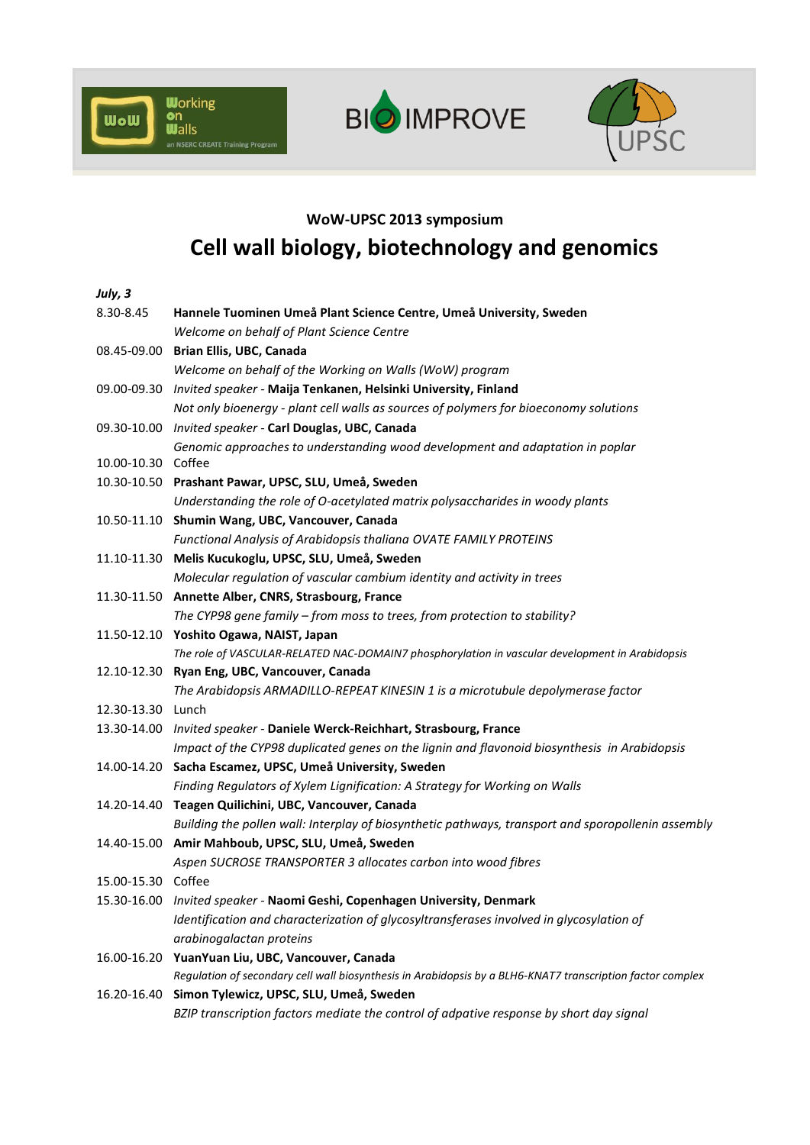





## **WoW-UPSC 2013 symposium**

## **Cell wall biology, biotechnology and genomics**

| July, 3            |                                                                                                            |
|--------------------|------------------------------------------------------------------------------------------------------------|
| 8.30-8.45          | Hannele Tuominen Umeå Plant Science Centre, Umeå University, Sweden                                        |
|                    | Welcome on behalf of Plant Science Centre                                                                  |
|                    | 08.45-09.00 Brian Ellis, UBC, Canada                                                                       |
|                    | Welcome on behalf of the Working on Walls (WoW) program                                                    |
|                    | 09.00-09.30 Invited speaker - Maija Tenkanen, Helsinki University, Finland                                 |
|                    | Not only bioenergy - plant cell walls as sources of polymers for bioeconomy solutions                      |
|                    | 09.30-10.00 Invited speaker - Carl Douglas, UBC, Canada                                                    |
|                    | Genomic approaches to understanding wood development and adaptation in poplar                              |
| 10.00-10.30 Coffee |                                                                                                            |
|                    | 10.30-10.50 Prashant Pawar, UPSC, SLU, Umeå, Sweden                                                        |
|                    | Understanding the role of O-acetylated matrix polysaccharides in woody plants                              |
|                    | 10.50-11.10 Shumin Wang, UBC, Vancouver, Canada                                                            |
|                    | Functional Analysis of Arabidopsis thaliana OVATE FAMILY PROTEINS                                          |
|                    | 11.10-11.30 Melis Kucukoglu, UPSC, SLU, Umeå, Sweden                                                       |
|                    | Molecular regulation of vascular cambium identity and activity in trees                                    |
|                    | 11.30-11.50 Annette Alber, CNRS, Strasbourg, France                                                        |
|                    | The CYP98 gene family - from moss to trees, from protection to stability?                                  |
|                    | 11.50-12.10 Yoshito Ogawa, NAIST, Japan                                                                    |
|                    | The role of VASCULAR-RELATED NAC-DOMAIN7 phosphorylation in vascular development in Arabidopsis            |
|                    | 12.10-12.30 Ryan Eng, UBC, Vancouver, Canada                                                               |
|                    | The Arabidopsis ARMADILLO-REPEAT KINESIN 1 is a microtubule depolymerase factor                            |
| 12.30-13.30 Lunch  |                                                                                                            |
|                    | 13.30-14.00 Invited speaker - Daniele Werck-Reichhart, Strasbourg, France                                  |
|                    | Impact of the CYP98 duplicated genes on the lignin and flavonoid biosynthesis in Arabidopsis               |
|                    | 14.00-14.20 Sacha Escamez, UPSC, Umeå University, Sweden                                                   |
|                    | Finding Regulators of Xylem Lignification: A Strategy for Working on Walls                                 |
|                    | 14.20-14.40 Teagen Quilichini, UBC, Vancouver, Canada                                                      |
|                    | Building the pollen wall: Interplay of biosynthetic pathways, transport and sporopollenin assembly         |
|                    | 14.40-15.00 Amir Mahboub, UPSC, SLU, Umeå, Sweden                                                          |
|                    | Aspen SUCROSE TRANSPORTER 3 allocates carbon into wood fibres                                              |
| 15.00-15.30 Coffee |                                                                                                            |
|                    | 15.30-16.00 Invited speaker - Naomi Geshi, Copenhagen University, Denmark                                  |
|                    | Identification and characterization of glycosyltransferases involved in glycosylation of                   |
|                    | arabinogalactan proteins                                                                                   |
|                    | 16.00-16.20 YuanYuan Liu, UBC, Vancouver, Canada                                                           |
|                    | Regulation of secondary cell wall biosynthesis in Arabidopsis by a BLH6-KNAT7 transcription factor complex |
|                    | 16.20-16.40 Simon Tylewicz, UPSC, SLU, Umeå, Sweden                                                        |
|                    | BZIP transcription factors mediate the control of adpative response by short day signal                    |